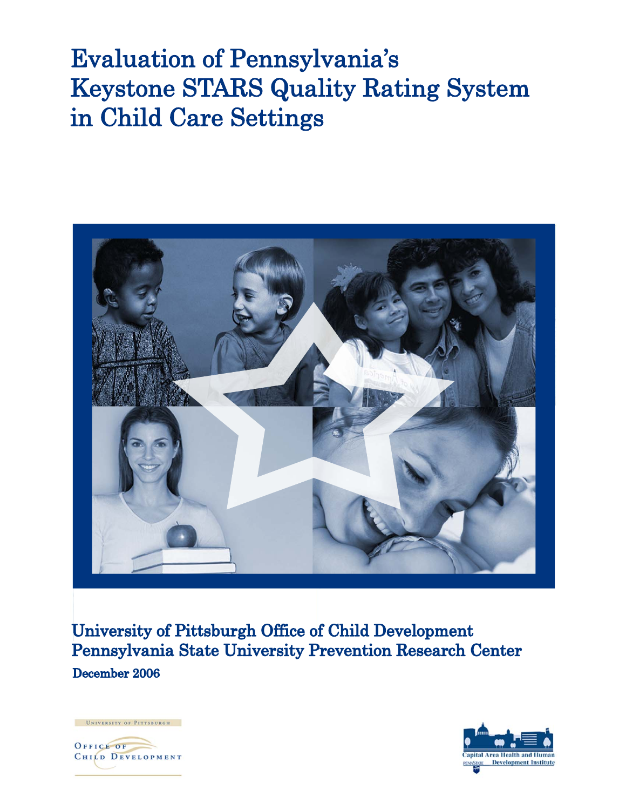# **Evaluation of Pennsylvania's Keystone STARS Quality Rating System** in Child Care Settings



University of Pittsburgh Office of Child Development Pennsylvania State University Prevention Research Center December 2006



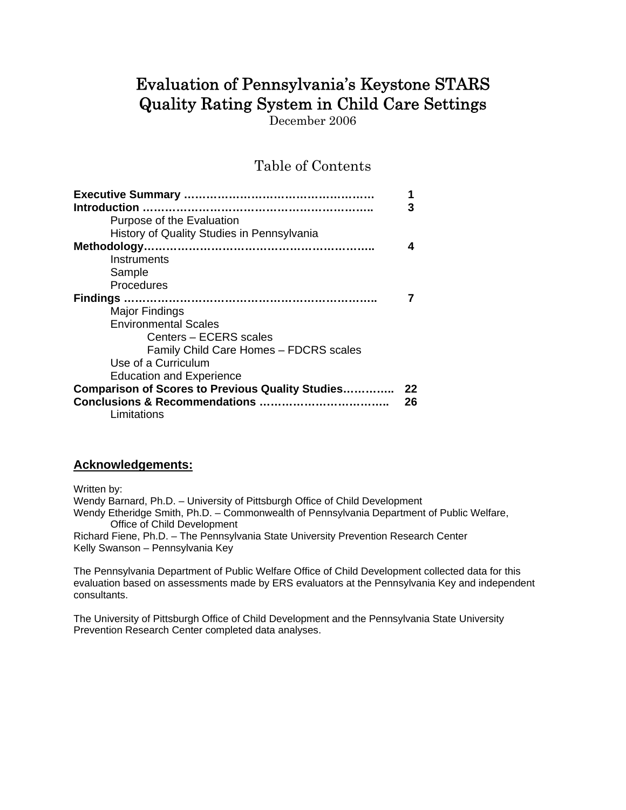# Evaluation of Pennsylvania's Keystone STARS Quality Rating System in Child Care Settings

December 2006

Table of Contents

|                                                         | 3  |
|---------------------------------------------------------|----|
| Purpose of the Evaluation                               |    |
| History of Quality Studies in Pennsylvania              |    |
|                                                         |    |
| Instruments                                             |    |
| Sample                                                  |    |
| Procedures                                              |    |
|                                                         |    |
| Major Findings                                          |    |
| <b>Environmental Scales</b>                             |    |
| Centers - ECERS scales                                  |    |
| Family Child Care Homes - FDCRS scales                  |    |
| Use of a Curriculum                                     |    |
| <b>Education and Experience</b>                         |    |
| <b>Comparison of Scores to Previous Quality Studies</b> | 22 |
|                                                         | 26 |
| Limitations                                             |    |

#### **Acknowledgements:**

Written by:

Wendy Barnard, Ph.D. – University of Pittsburgh Office of Child Development Wendy Etheridge Smith, Ph.D. – Commonwealth of Pennsylvania Department of Public Welfare, Office of Child Development Richard Fiene, Ph.D. – The Pennsylvania State University Prevention Research Center Kelly Swanson – Pennsylvania Key

The Pennsylvania Department of Public Welfare Office of Child Development collected data for this evaluation based on assessments made by ERS evaluators at the Pennsylvania Key and independent consultants.

The University of Pittsburgh Office of Child Development and the Pennsylvania State University Prevention Research Center completed data analyses.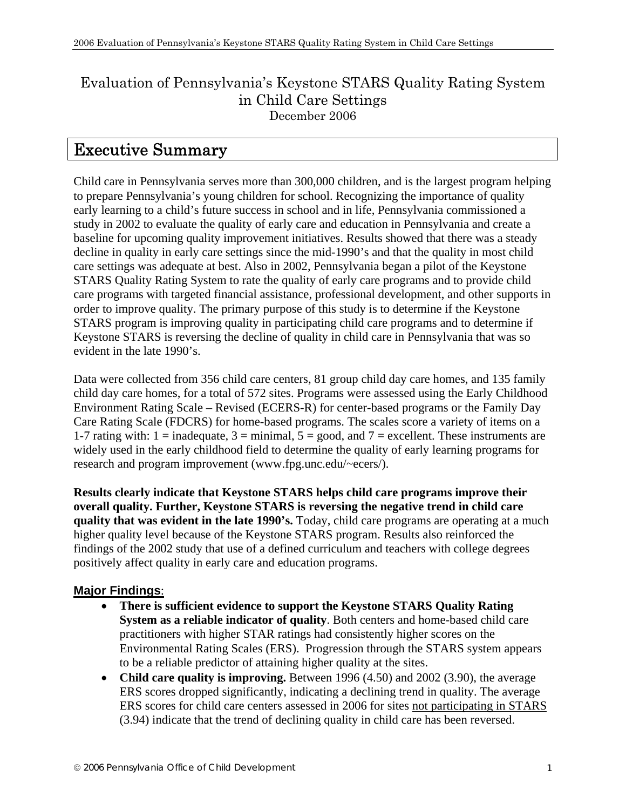## Evaluation of Pennsylvania's Keystone STARS Quality Rating System in Child Care Settings December 2006

# Executive Summary

Child care in Pennsylvania serves more than 300,000 children, and is the largest program helping to prepare Pennsylvania's young children for school. Recognizing the importance of quality early learning to a child's future success in school and in life, Pennsylvania commissioned a study in 2002 to evaluate the quality of early care and education in Pennsylvania and create a baseline for upcoming quality improvement initiatives. Results showed that there was a steady decline in quality in early care settings since the mid-1990's and that the quality in most child care settings was adequate at best. Also in 2002, Pennsylvania began a pilot of the Keystone STARS Quality Rating System to rate the quality of early care programs and to provide child care programs with targeted financial assistance, professional development, and other supports in order to improve quality. The primary purpose of this study is to determine if the Keystone STARS program is improving quality in participating child care programs and to determine if Keystone STARS is reversing the decline of quality in child care in Pennsylvania that was so evident in the late 1990's.

Data were collected from 356 child care centers, 81 group child day care homes, and 135 family child day care homes, for a total of 572 sites. Programs were assessed using the Early Childhood Environment Rating Scale – Revised (ECERS-R) for center-based programs or the Family Day Care Rating Scale (FDCRS) for home-based programs. The scales score a variety of items on a 1-7 rating with:  $1 =$  inadequate,  $3 =$  minimal,  $5 =$  good, and  $7 =$  excellent. These instruments are widely used in the early childhood field to determine the quality of early learning programs for research and program improvement (www.fpg.unc.edu/~ecers/).

**Results clearly indicate that Keystone STARS helps child care programs improve their overall quality. Further, Keystone STARS is reversing the negative trend in child care quality that was evident in the late 1990's.** Today, child care programs are operating at a much higher quality level because of the Keystone STARS program. Results also reinforced the findings of the 2002 study that use of a defined curriculum and teachers with college degrees positively affect quality in early care and education programs.

### **Major Findings**:

- **There is sufficient evidence to support the Keystone STARS Quality Rating System as a reliable indicator of quality**. Both centers and home-based child care practitioners with higher STAR ratings had consistently higher scores on the Environmental Rating Scales (ERS). Progression through the STARS system appears to be a reliable predictor of attaining higher quality at the sites.
- **Child care quality is improving.** Between 1996 (4.50) and 2002 (3.90), the average ERS scores dropped significantly, indicating a declining trend in quality. The average ERS scores for child care centers assessed in 2006 for sites not participating in STARS (3.94) indicate that the trend of declining quality in child care has been reversed.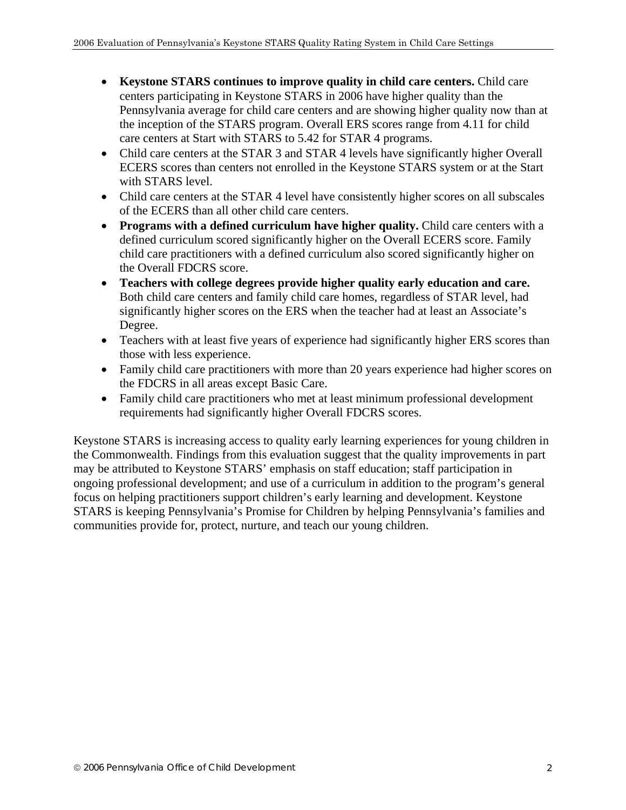- **Keystone STARS continues to improve quality in child care centers.** Child care centers participating in Keystone STARS in 2006 have higher quality than the Pennsylvania average for child care centers and are showing higher quality now than at the inception of the STARS program. Overall ERS scores range from 4.11 for child care centers at Start with STARS to 5.42 for STAR 4 programs.
- Child care centers at the STAR 3 and STAR 4 levels have significantly higher Overall ECERS scores than centers not enrolled in the Keystone STARS system or at the Start with STARS level.
- Child care centers at the STAR 4 level have consistently higher scores on all subscales of the ECERS than all other child care centers.
- **Programs with a defined curriculum have higher quality.** Child care centers with a defined curriculum scored significantly higher on the Overall ECERS score. Family child care practitioners with a defined curriculum also scored significantly higher on the Overall FDCRS score.
- **Teachers with college degrees provide higher quality early education and care.** Both child care centers and family child care homes, regardless of STAR level, had significantly higher scores on the ERS when the teacher had at least an Associate's Degree.
- Teachers with at least five years of experience had significantly higher ERS scores than those with less experience.
- Family child care practitioners with more than 20 years experience had higher scores on the FDCRS in all areas except Basic Care.
- Family child care practitioners who met at least minimum professional development requirements had significantly higher Overall FDCRS scores.

Keystone STARS is increasing access to quality early learning experiences for young children in the Commonwealth. Findings from this evaluation suggest that the quality improvements in part may be attributed to Keystone STARS' emphasis on staff education; staff participation in ongoing professional development; and use of a curriculum in addition to the program's general focus on helping practitioners support children's early learning and development. Keystone STARS is keeping Pennsylvania's Promise for Children by helping Pennsylvania's families and communities provide for, protect, nurture, and teach our young children.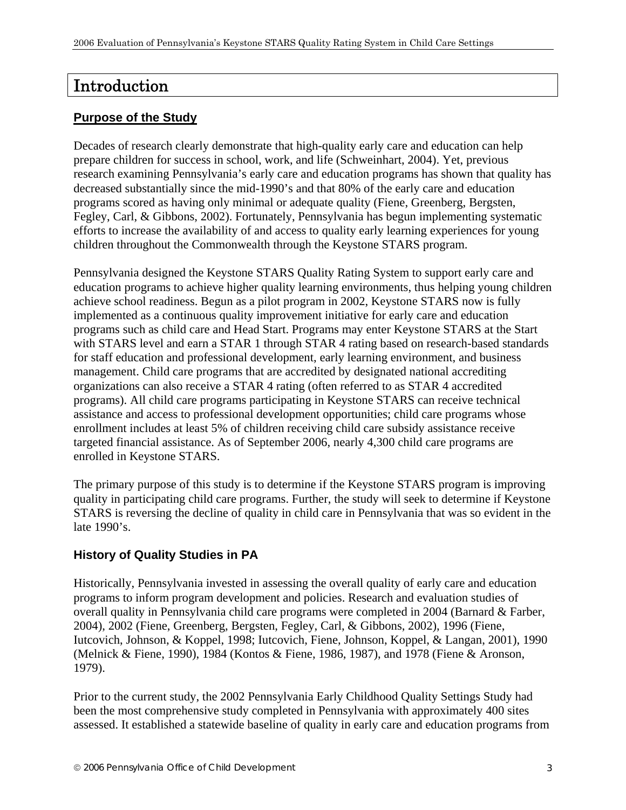# Introduction

#### **Purpose of the Study**

Decades of research clearly demonstrate that high-quality early care and education can help prepare children for success in school, work, and life (Schweinhart, 2004). Yet, previous research examining Pennsylvania's early care and education programs has shown that quality has decreased substantially since the mid-1990's and that 80% of the early care and education programs scored as having only minimal or adequate quality (Fiene, Greenberg, Bergsten, Fegley, Carl, & Gibbons, 2002). Fortunately, Pennsylvania has begun implementing systematic efforts to increase the availability of and access to quality early learning experiences for young children throughout the Commonwealth through the Keystone STARS program.

Pennsylvania designed the Keystone STARS Quality Rating System to support early care and education programs to achieve higher quality learning environments, thus helping young children achieve school readiness. Begun as a pilot program in 2002, Keystone STARS now is fully implemented as a continuous quality improvement initiative for early care and education programs such as child care and Head Start. Programs may enter Keystone STARS at the Start with STARS level and earn a STAR 1 through STAR 4 rating based on research-based standards for staff education and professional development, early learning environment, and business management. Child care programs that are accredited by designated national accrediting organizations can also receive a STAR 4 rating (often referred to as STAR 4 accredited programs). All child care programs participating in Keystone STARS can receive technical assistance and access to professional development opportunities; child care programs whose enrollment includes at least 5% of children receiving child care subsidy assistance receive targeted financial assistance. As of September 2006, nearly 4,300 child care programs are enrolled in Keystone STARS.

The primary purpose of this study is to determine if the Keystone STARS program is improving quality in participating child care programs. Further, the study will seek to determine if Keystone STARS is reversing the decline of quality in child care in Pennsylvania that was so evident in the late 1990's.

#### **History of Quality Studies in PA**

Historically, Pennsylvania invested in assessing the overall quality of early care and education programs to inform program development and policies. Research and evaluation studies of overall quality in Pennsylvania child care programs were completed in 2004 (Barnard & Farber, 2004), 2002 (Fiene, Greenberg, Bergsten, Fegley, Carl, & Gibbons, 2002), 1996 (Fiene, Iutcovich, Johnson, & Koppel, 1998; Iutcovich, Fiene, Johnson, Koppel, & Langan, 2001), 1990 (Melnick & Fiene, 1990), 1984 (Kontos & Fiene, 1986, 1987), and 1978 (Fiene & Aronson, 1979).

Prior to the current study, the 2002 Pennsylvania Early Childhood Quality Settings Study had been the most comprehensive study completed in Pennsylvania with approximately 400 sites assessed. It established a statewide baseline of quality in early care and education programs from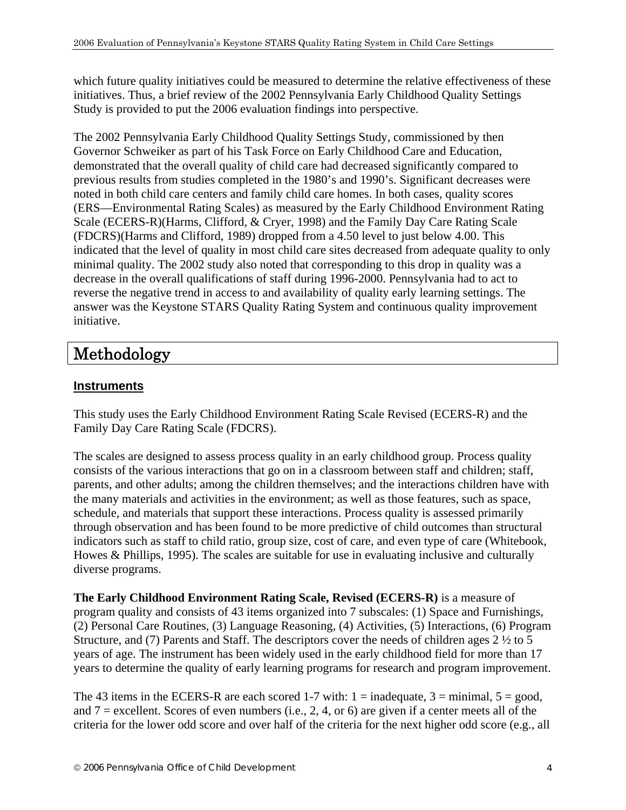which future quality initiatives could be measured to determine the relative effectiveness of these initiatives. Thus, a brief review of the 2002 Pennsylvania Early Childhood Quality Settings Study is provided to put the 2006 evaluation findings into perspective.

The 2002 Pennsylvania Early Childhood Quality Settings Study, commissioned by then Governor Schweiker as part of his Task Force on Early Childhood Care and Education, demonstrated that the overall quality of child care had decreased significantly compared to previous results from studies completed in the 1980's and 1990's. Significant decreases were noted in both child care centers and family child care homes. In both cases, quality scores (ERS—Environmental Rating Scales) as measured by the Early Childhood Environment Rating Scale (ECERS-R)(Harms, Clifford, & Cryer, 1998) and the Family Day Care Rating Scale (FDCRS)(Harms and Clifford, 1989) dropped from a 4.50 level to just below 4.00. This indicated that the level of quality in most child care sites decreased from adequate quality to only minimal quality. The 2002 study also noted that corresponding to this drop in quality was a decrease in the overall qualifications of staff during 1996-2000. Pennsylvania had to act to reverse the negative trend in access to and availability of quality early learning settings. The answer was the Keystone STARS Quality Rating System and continuous quality improvement initiative.

# Methodology

#### **Instruments**

This study uses the Early Childhood Environment Rating Scale Revised (ECERS-R) and the Family Day Care Rating Scale (FDCRS).

The scales are designed to assess process quality in an early childhood group. Process quality consists of the various interactions that go on in a classroom between staff and children; staff, parents, and other adults; among the children themselves; and the interactions children have with the many materials and activities in the environment; as well as those features, such as space, schedule, and materials that support these interactions. Process quality is assessed primarily through observation and has been found to be more predictive of child outcomes than structural indicators such as staff to child ratio, group size, cost of care, and even type of care (Whitebook, Howes & Phillips, 1995). The scales are suitable for use in evaluating inclusive and culturally diverse programs.

**The Early Childhood Environment Rating Scale, Revised (ECERS-R)** is a measure of program quality and consists of 43 items organized into 7 subscales: (1) Space and Furnishings, (2) Personal Care Routines, (3) Language Reasoning, (4) Activities, (5) Interactions, (6) Program Structure, and (7) Parents and Staff. The descriptors cover the needs of children ages 2 ½ to 5 years of age. The instrument has been widely used in the early childhood field for more than 17 years to determine the quality of early learning programs for research and program improvement.

The 43 items in the ECERS-R are each scored 1-7 with:  $1 =$  inadequate,  $3 =$  minimal,  $5 =$  good, and  $7$  = excellent. Scores of even numbers (i.e., 2, 4, or 6) are given if a center meets all of the criteria for the lower odd score and over half of the criteria for the next higher odd score (e.g., all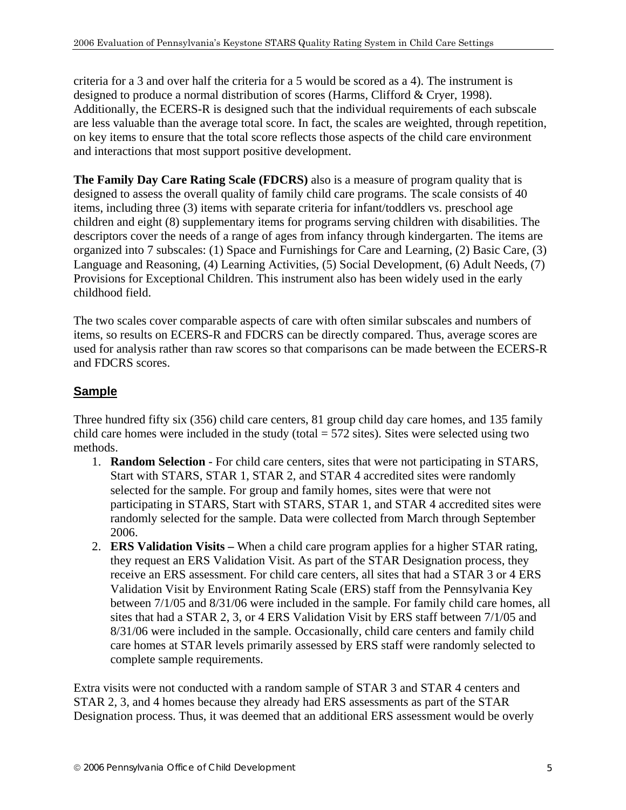criteria for a 3 and over half the criteria for a 5 would be scored as a 4). The instrument is designed to produce a normal distribution of scores (Harms, Clifford & Cryer, 1998). Additionally, the ECERS-R is designed such that the individual requirements of each subscale are less valuable than the average total score. In fact, the scales are weighted, through repetition, on key items to ensure that the total score reflects those aspects of the child care environment and interactions that most support positive development.

**The Family Day Care Rating Scale (FDCRS)** also is a measure of program quality that is designed to assess the overall quality of family child care programs. The scale consists of 40 items, including three (3) items with separate criteria for infant/toddlers vs. preschool age children and eight (8) supplementary items for programs serving children with disabilities. The descriptors cover the needs of a range of ages from infancy through kindergarten. The items are organized into 7 subscales: (1) Space and Furnishings for Care and Learning, (2) Basic Care, (3) Language and Reasoning, (4) Learning Activities, (5) Social Development, (6) Adult Needs, (7) Provisions for Exceptional Children. This instrument also has been widely used in the early childhood field.

The two scales cover comparable aspects of care with often similar subscales and numbers of items, so results on ECERS-R and FDCRS can be directly compared. Thus, average scores are used for analysis rather than raw scores so that comparisons can be made between the ECERS-R and FDCRS scores.

### **Sample**

Three hundred fifty six (356) child care centers, 81 group child day care homes, and 135 family child care homes were included in the study (total  $= 572$  sites). Sites were selected using two methods.

- 1. **Random Selection** For child care centers, sites that were not participating in STARS, Start with STARS, STAR 1, STAR 2, and STAR 4 accredited sites were randomly selected for the sample. For group and family homes, sites were that were not participating in STARS, Start with STARS, STAR 1, and STAR 4 accredited sites were randomly selected for the sample. Data were collected from March through September 2006.
- 2. **ERS Validation Visits –** When a child care program applies for a higher STAR rating, they request an ERS Validation Visit. As part of the STAR Designation process, they receive an ERS assessment. For child care centers, all sites that had a STAR 3 or 4 ERS Validation Visit by Environment Rating Scale (ERS) staff from the Pennsylvania Key between 7/1/05 and 8/31/06 were included in the sample. For family child care homes, all sites that had a STAR 2, 3, or 4 ERS Validation Visit by ERS staff between 7/1/05 and 8/31/06 were included in the sample. Occasionally, child care centers and family child care homes at STAR levels primarily assessed by ERS staff were randomly selected to complete sample requirements.

Extra visits were not conducted with a random sample of STAR 3 and STAR 4 centers and STAR 2, 3, and 4 homes because they already had ERS assessments as part of the STAR Designation process. Thus, it was deemed that an additional ERS assessment would be overly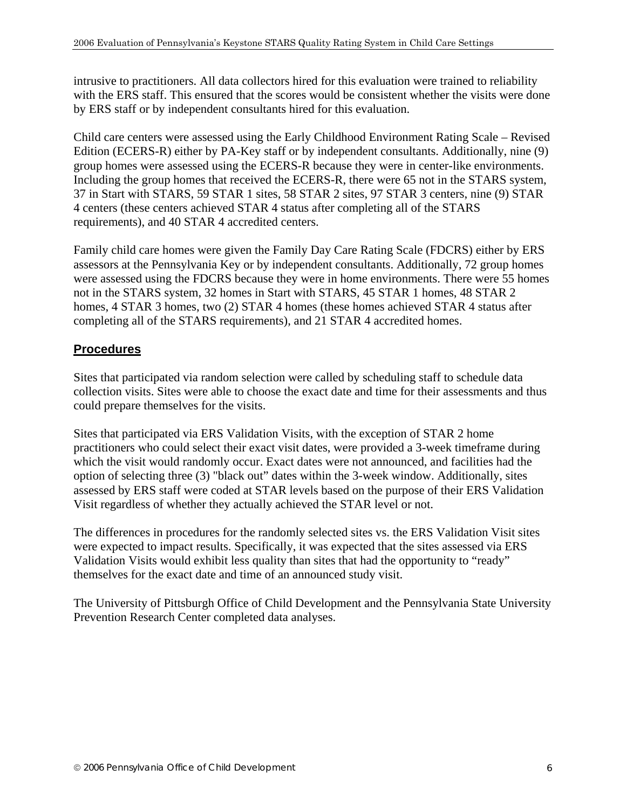intrusive to practitioners. All data collectors hired for this evaluation were trained to reliability with the ERS staff. This ensured that the scores would be consistent whether the visits were done by ERS staff or by independent consultants hired for this evaluation.

Child care centers were assessed using the Early Childhood Environment Rating Scale – Revised Edition (ECERS-R) either by PA-Key staff or by independent consultants. Additionally, nine (9) group homes were assessed using the ECERS-R because they were in center-like environments. Including the group homes that received the ECERS-R, there were 65 not in the STARS system, 37 in Start with STARS, 59 STAR 1 sites, 58 STAR 2 sites, 97 STAR 3 centers, nine (9) STAR 4 centers (these centers achieved STAR 4 status after completing all of the STARS requirements), and 40 STAR 4 accredited centers.

Family child care homes were given the Family Day Care Rating Scale (FDCRS) either by ERS assessors at the Pennsylvania Key or by independent consultants. Additionally, 72 group homes were assessed using the FDCRS because they were in home environments. There were 55 homes not in the STARS system, 32 homes in Start with STARS, 45 STAR 1 homes, 48 STAR 2 homes, 4 STAR 3 homes, two (2) STAR 4 homes (these homes achieved STAR 4 status after completing all of the STARS requirements), and 21 STAR 4 accredited homes.

### **Procedures**

Sites that participated via random selection were called by scheduling staff to schedule data collection visits. Sites were able to choose the exact date and time for their assessments and thus could prepare themselves for the visits.

Sites that participated via ERS Validation Visits, with the exception of STAR 2 home practitioners who could select their exact visit dates, were provided a 3-week timeframe during which the visit would randomly occur. Exact dates were not announced, and facilities had the option of selecting three (3) "black out" dates within the 3-week window. Additionally, sites assessed by ERS staff were coded at STAR levels based on the purpose of their ERS Validation Visit regardless of whether they actually achieved the STAR level or not.

The differences in procedures for the randomly selected sites vs. the ERS Validation Visit sites were expected to impact results. Specifically, it was expected that the sites assessed via ERS Validation Visits would exhibit less quality than sites that had the opportunity to "ready" themselves for the exact date and time of an announced study visit.

The University of Pittsburgh Office of Child Development and the Pennsylvania State University Prevention Research Center completed data analyses.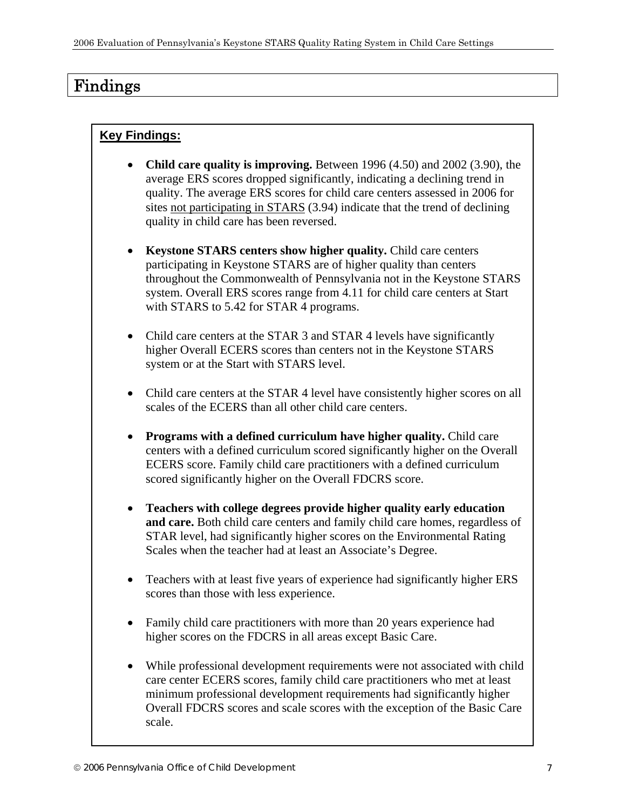# Findings

### **Key Findings:**

- **Child care quality is improving.** Between 1996 (4.50) and 2002 (3.90), the average ERS scores dropped significantly, indicating a declining trend in quality. The average ERS scores for child care centers assessed in 2006 for sites not participating in STARS (3.94) indicate that the trend of declining quality in child care has been reversed.
- **Keystone STARS centers show higher quality.** Child care centers participating in Keystone STARS are of higher quality than centers throughout the Commonwealth of Pennsylvania not in the Keystone STARS system. Overall ERS scores range from 4.11 for child care centers at Start with STARS to 5.42 for STAR 4 programs.
- Child care centers at the STAR 3 and STAR 4 levels have significantly higher Overall ECERS scores than centers not in the Keystone STARS system or at the Start with STARS level.
- Child care centers at the STAR 4 level have consistently higher scores on all scales of the ECERS than all other child care centers.
- **Programs with a defined curriculum have higher quality.** Child care centers with a defined curriculum scored significantly higher on the Overall ECERS score. Family child care practitioners with a defined curriculum scored significantly higher on the Overall FDCRS score.
- **Teachers with college degrees provide higher quality early education and care.** Both child care centers and family child care homes, regardless of STAR level, had significantly higher scores on the Environmental Rating Scales when the teacher had at least an Associate's Degree.
- Teachers with at least five years of experience had significantly higher ERS scores than those with less experience.
- Family child care practitioners with more than 20 years experience had higher scores on the FDCRS in all areas except Basic Care.
- While professional development requirements were not associated with child care center ECERS scores, family child care practitioners who met at least minimum professional development requirements had significantly higher Overall FDCRS scores and scale scores with the exception of the Basic Care scale.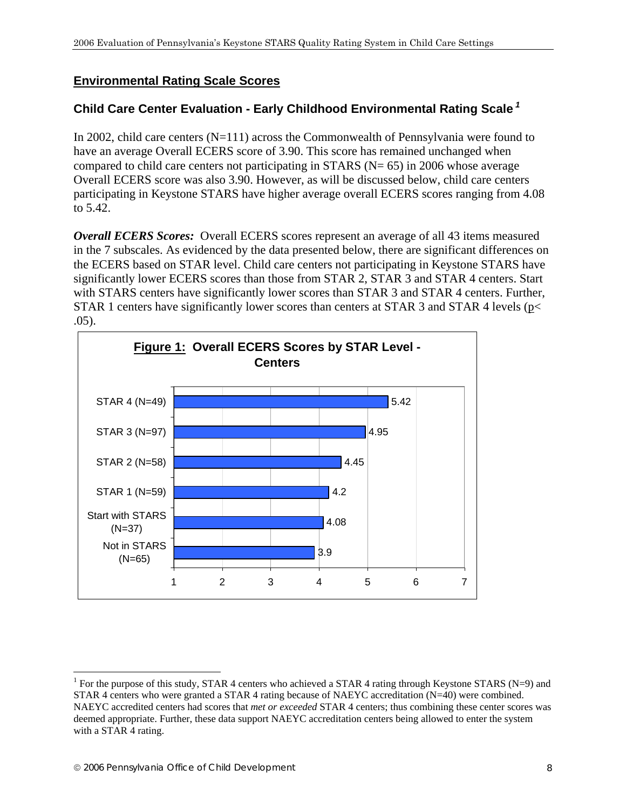#### **Environmental Rating Scale Scores**

### **Child Care Center Evaluation - Early Childhood Environmental Rating Scale***<sup>1</sup>*

In 2002, child care centers (N=111) across the Commonwealth of Pennsylvania were found to have an average Overall ECERS score of 3.90. This score has remained unchanged when compared to child care centers not participating in STARS ( $N = 65$ ) in 2006 whose average Overall ECERS score was also 3.90. However, as will be discussed below, child care centers participating in Keystone STARS have higher average overall ECERS scores ranging from 4.08 to 5.42.

*Overall ECERS Scores:* Overall ECERS scores represent an average of all 43 items measured in the 7 subscales. As evidenced by the data presented below, there are significant differences on the ECERS based on STAR level. Child care centers not participating in Keystone STARS have significantly lower ECERS scores than those from STAR 2, STAR 3 and STAR 4 centers. Start with STARS centers have significantly lower scores than STAR 3 and STAR 4 centers. Further, STAR 1 centers have significantly lower scores than centers at STAR 3 and STAR 4 levels (p< .05).



1

<sup>&</sup>lt;sup>1</sup> For the purpose of this study, STAR 4 centers who achieved a STAR 4 rating through Keystone STARS (N=9) and STAR 4 centers who were granted a STAR 4 rating because of NAEYC accreditation (N=40) were combined. NAEYC accredited centers had scores that *met or exceeded* STAR 4 centers; thus combining these center scores was deemed appropriate. Further, these data support NAEYC accreditation centers being allowed to enter the system with a STAR 4 rating.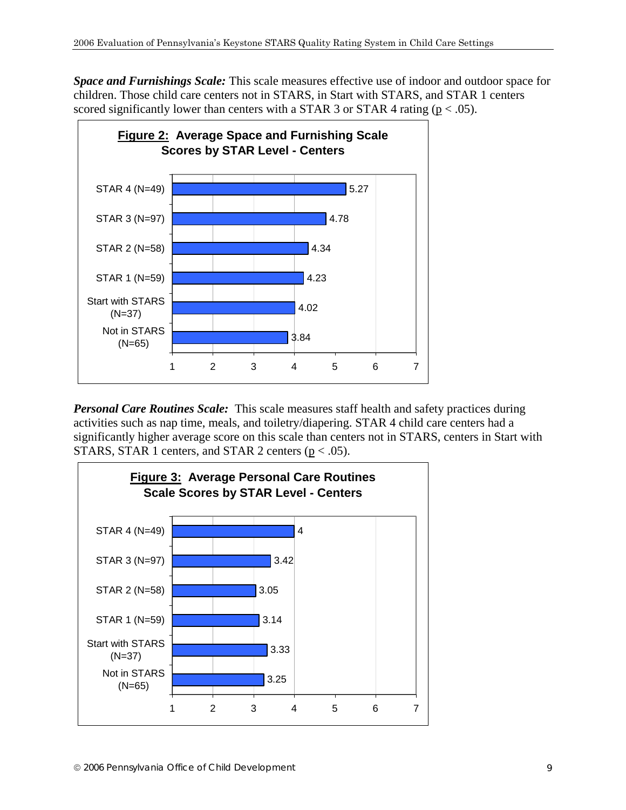*Space and Furnishings Scale:* This scale measures effective use of indoor and outdoor space for children. Those child care centers not in STARS, in Start with STARS, and STAR 1 centers scored significantly lower than centers with a STAR 3 or STAR 4 rating ( $p < .05$ ).



*Personal Care Routines Scale:* This scale measures staff health and safety practices during activities such as nap time, meals, and toiletry/diapering. STAR 4 child care centers had a significantly higher average score on this scale than centers not in STARS, centers in Start with STARS, STAR 1 centers, and STAR 2 centers ( $p < .05$ ).

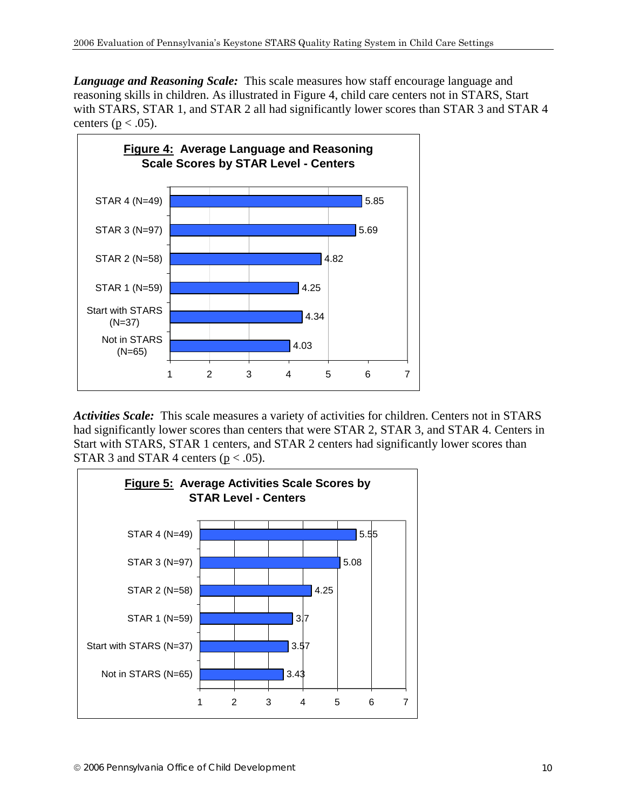*Language and Reasoning Scale:* This scale measures how staff encourage language and reasoning skills in children. As illustrated in Figure 4, child care centers not in STARS, Start with STARS, STAR 1, and STAR 2 all had significantly lower scores than STAR 3 and STAR 4 centers ( $p < .05$ ).



*Activities Scale:* This scale measures a variety of activities for children. Centers not in STARS had significantly lower scores than centers that were STAR 2, STAR 3, and STAR 4. Centers in Start with STARS, STAR 1 centers, and STAR 2 centers had significantly lower scores than STAR 3 and STAR 4 centers ( $p < .05$ ).

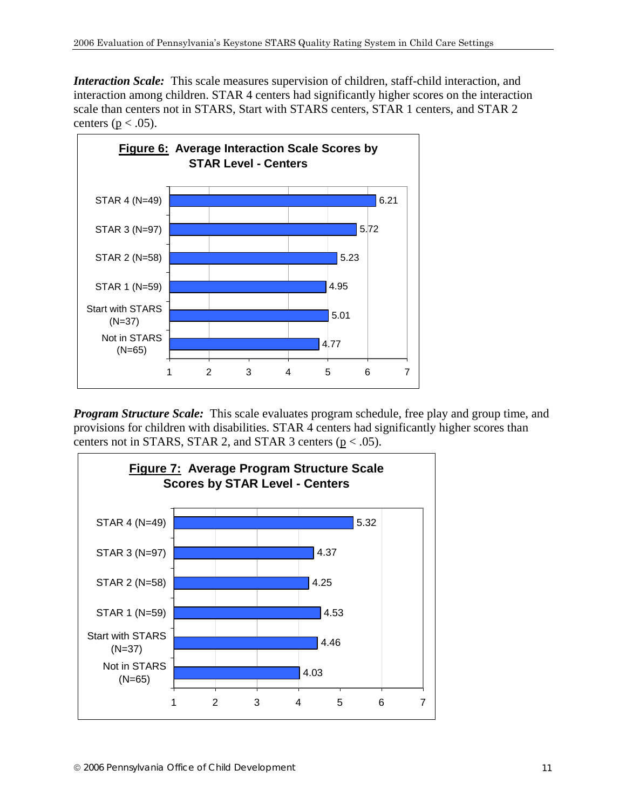*Interaction Scale:* This scale measures supervision of children, staff-child interaction, and interaction among children. STAR 4 centers had significantly higher scores on the interaction scale than centers not in STARS, Start with STARS centers, STAR 1 centers, and STAR 2 centers ( $p < .05$ ).



*Program Structure Scale:* This scale evaluates program schedule, free play and group time, and provisions for children with disabilities. STAR 4 centers had significantly higher scores than centers not in STARS, STAR 2, and STAR 3 centers ( $p < .05$ ).

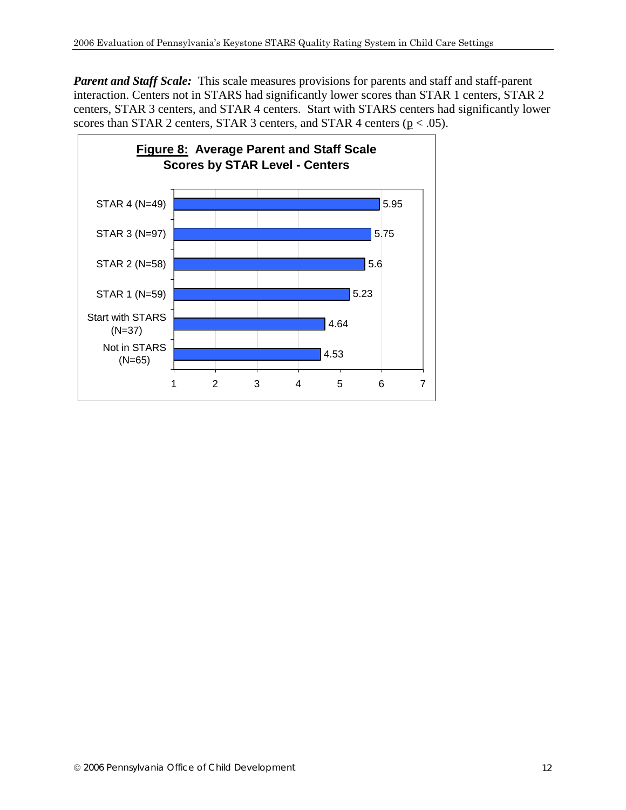**Parent and Staff Scale:** This scale measures provisions for parents and staff and staff-parent interaction. Centers not in STARS had significantly lower scores than STAR 1 centers, STAR 2 centers, STAR 3 centers, and STAR 4 centers. Start with STARS centers had significantly lower scores than STAR 2 centers, STAR 3 centers, and STAR 4 centers ( $p < .05$ ).

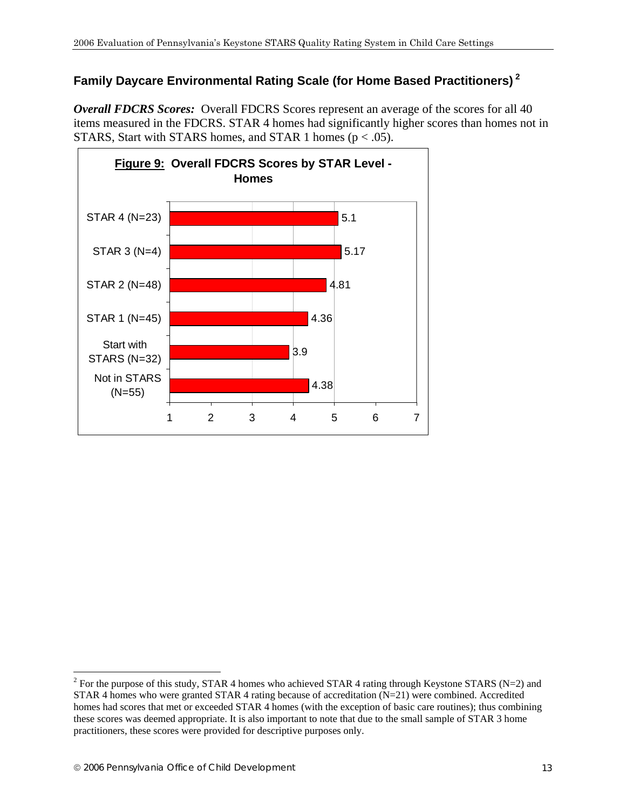## **Family Daycare Environmental Rating Scale (for Home Based Practitioners)<sup>2</sup>**

*Overall FDCRS Scores:* Overall FDCRS Scores represent an average of the scores for all 40 items measured in the FDCRS. STAR 4 homes had significantly higher scores than homes not in STARS, Start with STARS homes, and STAR 1 homes ( $p < .05$ ).



 $\overline{a}$ 

<sup>&</sup>lt;sup>2</sup> For the purpose of this study, STAR 4 homes who achieved STAR 4 rating through Keystone STARS (N=2) and STAR 4 homes who were granted STAR 4 rating because of accreditation (N=21) were combined. Accredited homes had scores that met or exceeded STAR 4 homes (with the exception of basic care routines); thus combining these scores was deemed appropriate. It is also important to note that due to the small sample of STAR 3 home practitioners, these scores were provided for descriptive purposes only.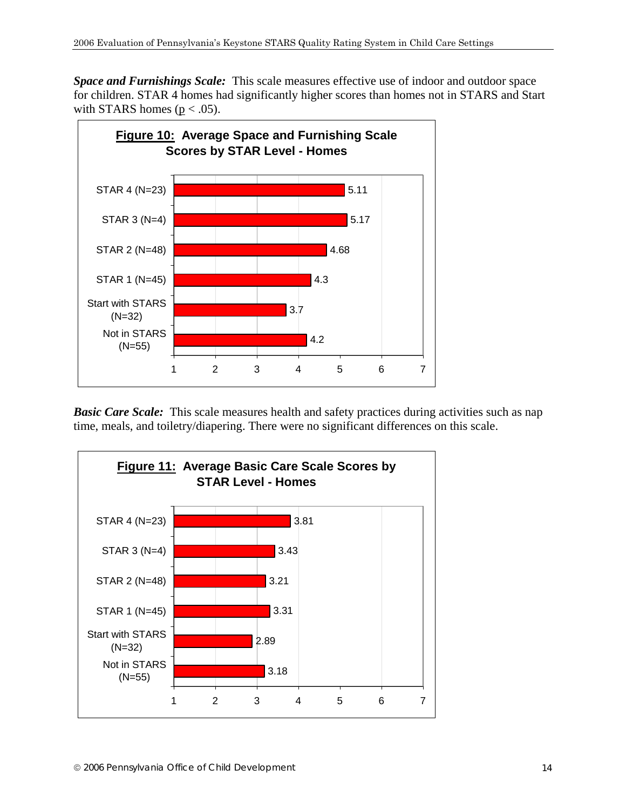*Space and Furnishings Scale:* This scale measures effective use of indoor and outdoor space for children. STAR 4 homes had significantly higher scores than homes not in STARS and Start with STARS homes ( $p < .05$ ).



**Basic Care Scale:** This scale measures health and safety practices during activities such as nap time, meals, and toiletry/diapering. There were no significant differences on this scale.

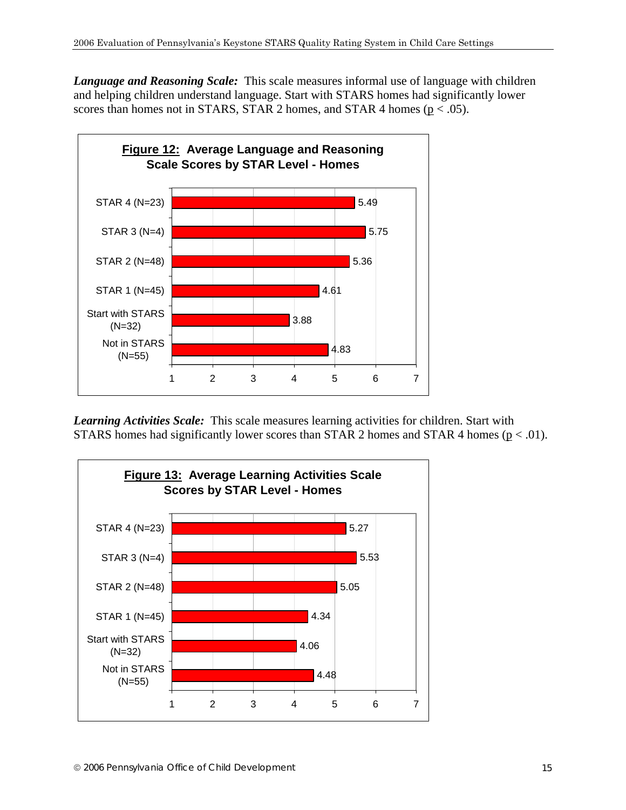*Language and Reasoning Scale:* This scale measures informal use of language with children and helping children understand language. Start with STARS homes had significantly lower scores than homes not in STARS, STAR 2 homes, and STAR 4 homes ( $p < .05$ ).



*Learning Activities Scale:* This scale measures learning activities for children. Start with STARS homes had significantly lower scores than STAR 2 homes and STAR 4 homes ( $p < .01$ ).

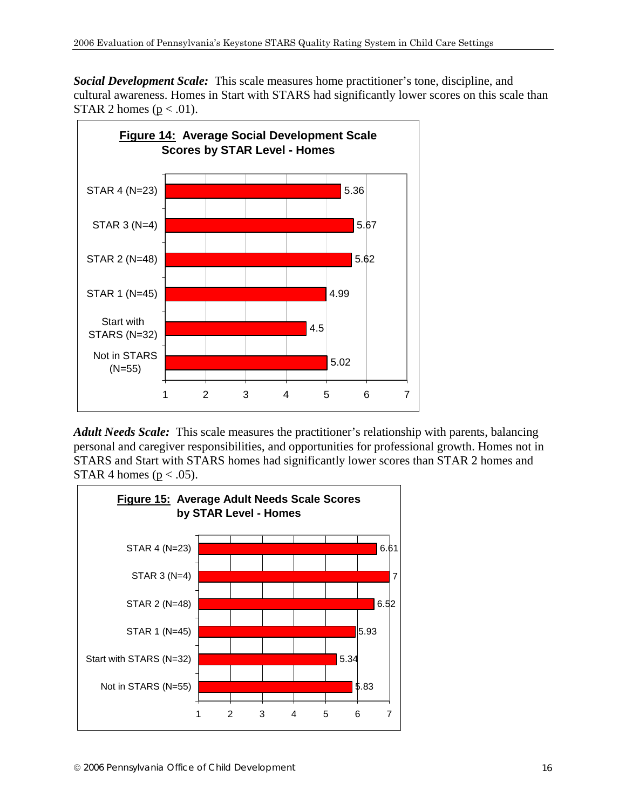*Social Development Scale:* This scale measures home practitioner's tone, discipline, and cultural awareness. Homes in Start with STARS had significantly lower scores on this scale than STAR 2 homes ( $p < .01$ ).



*Adult Needs Scale:* This scale measures the practitioner's relationship with parents, balancing personal and caregiver responsibilities, and opportunities for professional growth. Homes not in STARS and Start with STARS homes had significantly lower scores than STAR 2 homes and STAR 4 homes ( $p < .05$ ).

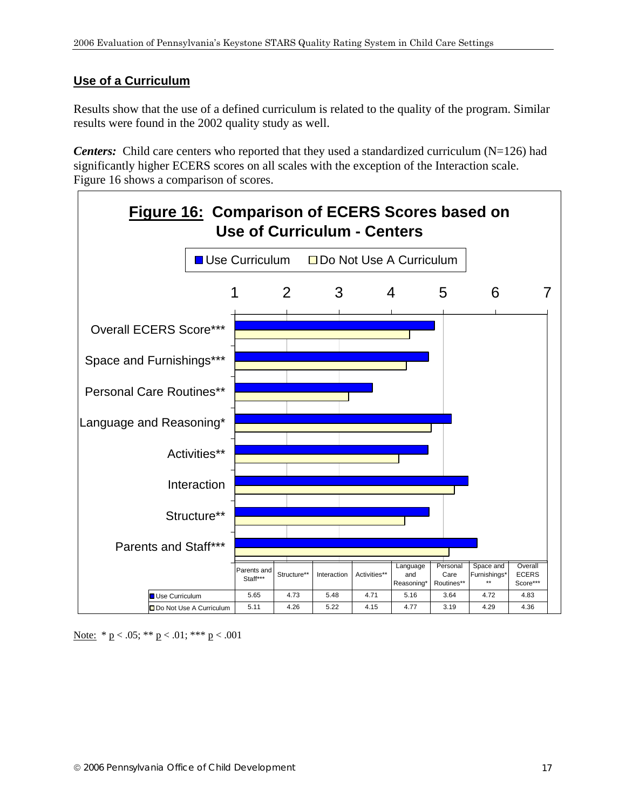### **Use of a Curriculum**

Results show that the use of a defined curriculum is related to the quality of the program. Similar results were found in the 2002 quality study as well.

*Centers:* Child care centers who reported that they used a standardized curriculum (N=126) had significantly higher ECERS scores on all scales with the exception of the Interaction scale. Figure 16 shows a comparison of scores.



Note:  $* p < .05; ** p < .01; ** p < .001$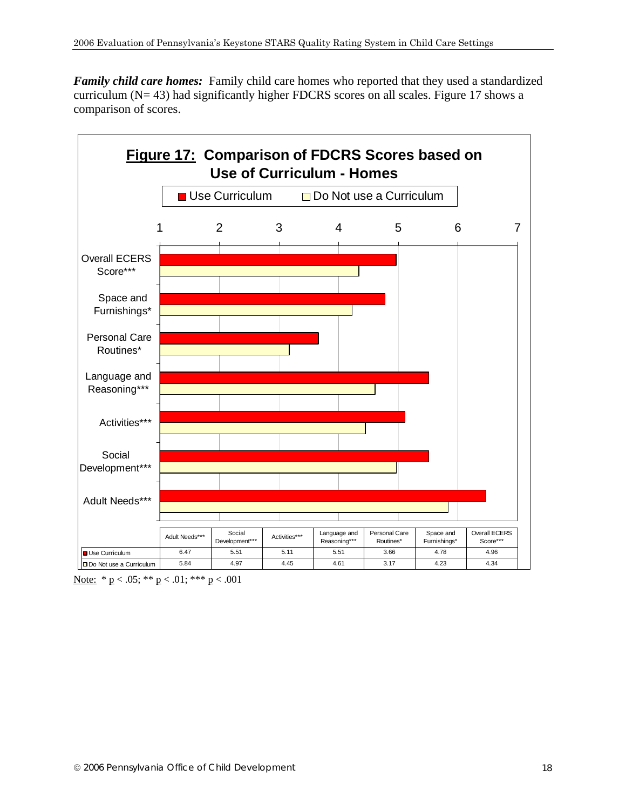*Family child care homes:* Family child care homes who reported that they used a standardized curriculum (N= 43) had significantly higher FDCRS scores on all scales. Figure 17 shows a comparison of scores.



Note:  $* p < .05; ** p < .01; ** p < .001$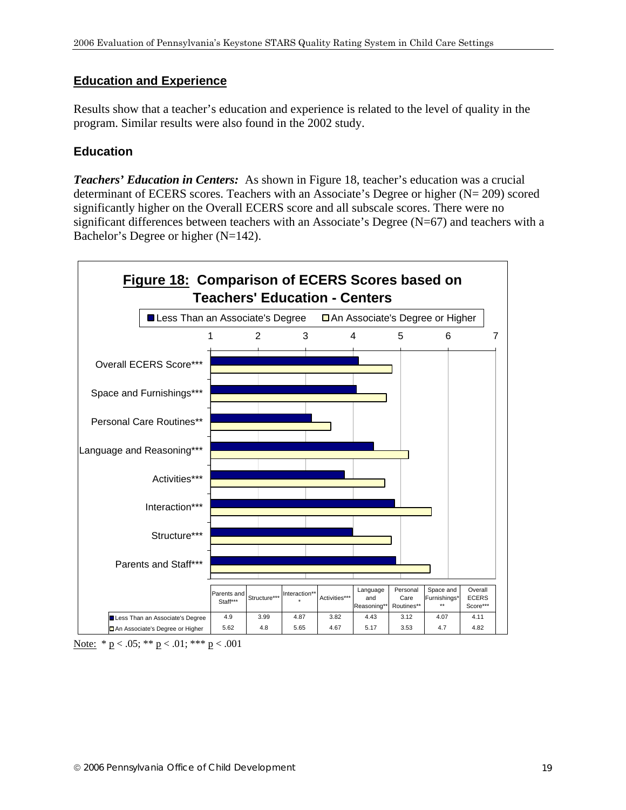#### **Education and Experience**

Results show that a teacher's education and experience is related to the level of quality in the program. Similar results were also found in the 2002 study.

### **Education**

*Teachers' Education in Centers:* As shown in Figure 18, teacher's education was a crucial determinant of ECERS scores. Teachers with an Associate's Degree or higher (N= 209) scored significantly higher on the Overall ECERS score and all subscale scores. There were no significant differences between teachers with an Associate's Degree (N=67) and teachers with a Bachelor's Degree or higher (N=142).



Note:  $* p < .05; ** p < .01; *** p < .001$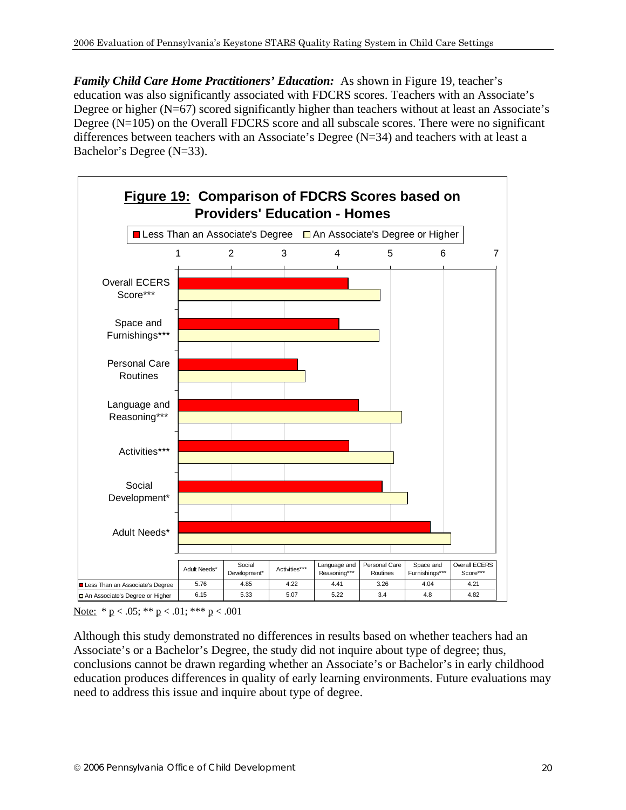*Family Child Care Home Practitioners' Education:* As shown in Figure 19, teacher's education was also significantly associated with FDCRS scores. Teachers with an Associate's Degree or higher  $(N=67)$  scored significantly higher than teachers without at least an Associate's Degree (N=105) on the Overall FDCRS score and all subscale scores. There were no significant differences between teachers with an Associate's Degree  $(N=34)$  and teachers with at least a Bachelor's Degree (N=33).



Note:  $* p < .05; ** p < .01; *** p < .001$ 

Although this study demonstrated no differences in results based on whether teachers had an Associate's or a Bachelor's Degree, the study did not inquire about type of degree; thus, conclusions cannot be drawn regarding whether an Associate's or Bachelor's in early childhood education produces differences in quality of early learning environments. Future evaluations may need to address this issue and inquire about type of degree.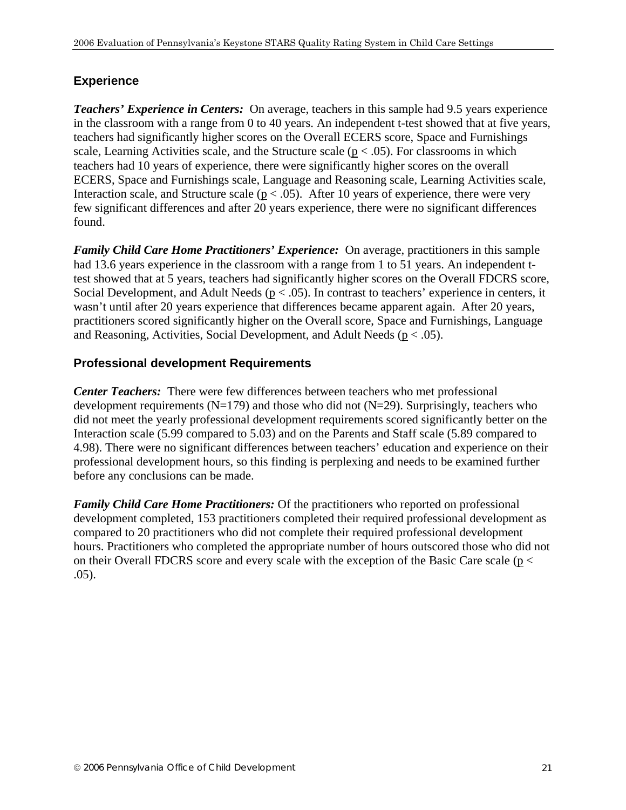#### **Experience**

*Teachers' Experience in Centers:* On average, teachers in this sample had 9.5 years experience in the classroom with a range from 0 to 40 years. An independent t-test showed that at five years, teachers had significantly higher scores on the Overall ECERS score, Space and Furnishings scale, Learning Activities scale, and the Structure scale ( $p < .05$ ). For classrooms in which teachers had 10 years of experience, there were significantly higher scores on the overall ECERS, Space and Furnishings scale, Language and Reasoning scale, Learning Activities scale, Interaction scale, and Structure scale ( $p < .05$ ). After 10 years of experience, there were very few significant differences and after 20 years experience, there were no significant differences found.

*Family Child Care Home Practitioners' Experience:* On average, practitioners in this sample had 13.6 years experience in the classroom with a range from 1 to 51 years. An independent ttest showed that at 5 years, teachers had significantly higher scores on the Overall FDCRS score, Social Development, and Adult Needs ( $p < .05$ ). In contrast to teachers' experience in centers, it wasn't until after 20 years experience that differences became apparent again. After 20 years, practitioners scored significantly higher on the Overall score, Space and Furnishings, Language and Reasoning, Activities, Social Development, and Adult Needs ( $p < .05$ ).

#### **Professional development Requirements**

*Center Teachers:* There were few differences between teachers who met professional development requirements  $(N=179)$  and those who did not  $(N=29)$ . Surprisingly, teachers who did not meet the yearly professional development requirements scored significantly better on the Interaction scale (5.99 compared to 5.03) and on the Parents and Staff scale (5.89 compared to 4.98). There were no significant differences between teachers' education and experience on their professional development hours, so this finding is perplexing and needs to be examined further before any conclusions can be made.

*Family Child Care Home Practitioners:* Of the practitioners who reported on professional development completed, 153 practitioners completed their required professional development as compared to 20 practitioners who did not complete their required professional development hours. Practitioners who completed the appropriate number of hours outscored those who did not on their Overall FDCRS score and every scale with the exception of the Basic Care scale (p < .05).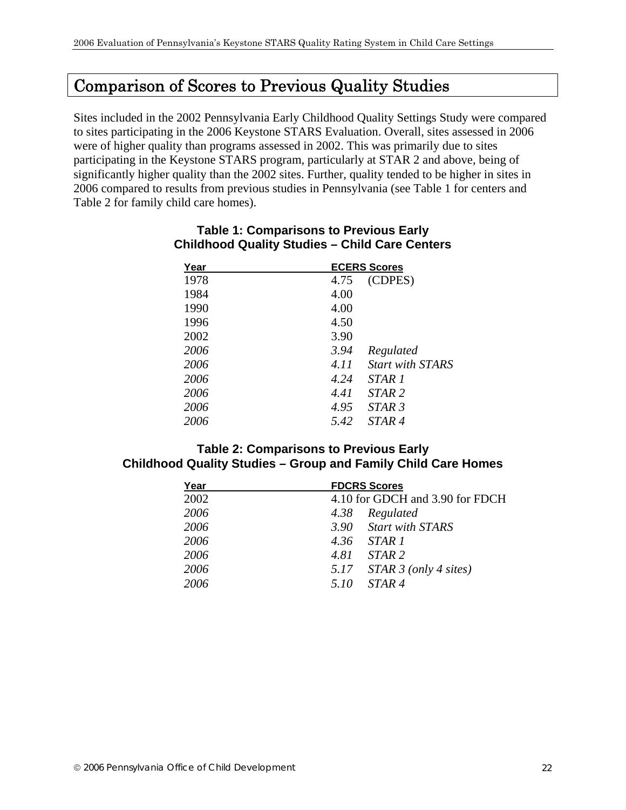# Comparison of Scores to Previous Quality Studies

Sites included in the 2002 Pennsylvania Early Childhood Quality Settings Study were compared to sites participating in the 2006 Keystone STARS Evaluation. Overall, sites assessed in 2006 were of higher quality than programs assessed in 2002. This was primarily due to sites participating in the Keystone STARS program, particularly at STAR 2 and above, being of significantly higher quality than the 2002 sites. Further, quality tended to be higher in sites in 2006 compared to results from previous studies in Pennsylvania (see Table 1 for centers and Table 2 for family child care homes).

| Year | <b>ECERS Scores</b>             |
|------|---------------------------------|
| 1978 | (CDPES)<br>4.75                 |
| 1984 | 4.00                            |
| 1990 | 4.00                            |
| 1996 | 4.50                            |
| 2002 | 3.90                            |
| 2006 | 3.94<br>Regulated               |
| 2006 | <b>Start with STARS</b><br>4.11 |
| 2006 | 4.24<br><i>STAR 1</i>           |
| 2006 | STAR <sub>2</sub><br>4.41       |
| 2006 | 4.95<br>STAR <sub>3</sub>       |
| 2006 | 5.42<br><i>STAR 4</i>           |

#### **Table 1: Comparisons to Previous Early Childhood Quality Studies – Child Care Centers**

#### **Table 2: Comparisons to Previous Early Childhood Quality Studies – Group and Family Child Care Homes**

| Year | <b>FDCRS Scores</b>                      |
|------|------------------------------------------|
| 2002 | 4.10 for GDCH and 3.90 for FDCH          |
| 2006 | 4.38 Regulated                           |
| 2006 | 3.90 Start with STARS                    |
| 2006 | 4.36 STAR 1                              |
| 2006 | 4.81 STAR 2                              |
| 2006 | 5.17 $STAR \, 3 \, (only \, 4 \, sites)$ |
| 2006 | 5.10 STAR 4                              |
|      |                                          |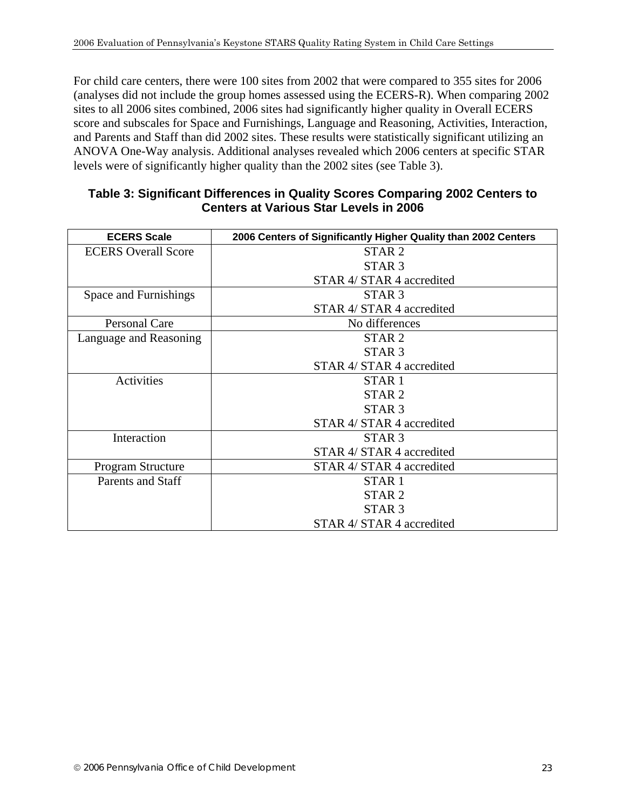For child care centers, there were 100 sites from 2002 that were compared to 355 sites for 2006 (analyses did not include the group homes assessed using the ECERS-R). When comparing 2002 sites to all 2006 sites combined, 2006 sites had significantly higher quality in Overall ECERS score and subscales for Space and Furnishings, Language and Reasoning, Activities, Interaction, and Parents and Staff than did 2002 sites. These results were statistically significant utilizing an ANOVA One-Way analysis. Additional analyses revealed which 2006 centers at specific STAR levels were of significantly higher quality than the 2002 sites (see Table 3).

#### **Table 3: Significant Differences in Quality Scores Comparing 2002 Centers to Centers at Various Star Levels in 2006**

| <b>ECERS Scale</b>         | 2006 Centers of Significantly Higher Quality than 2002 Centers |
|----------------------------|----------------------------------------------------------------|
| <b>ECERS</b> Overall Score | STAR <sub>2</sub>                                              |
|                            | STAR <sub>3</sub>                                              |
|                            | STAR 4/ STAR 4 accredited                                      |
| Space and Furnishings      | STAR <sub>3</sub>                                              |
|                            | STAR 4/ STAR 4 accredited                                      |
| Personal Care              | No differences                                                 |
| Language and Reasoning     | STAR <sub>2</sub>                                              |
|                            | STAR <sub>3</sub>                                              |
|                            | STAR 4/ STAR 4 accredited                                      |
| Activities                 | STAR <sub>1</sub>                                              |
|                            | STAR <sub>2</sub>                                              |
|                            | STAR <sub>3</sub>                                              |
|                            | STAR 4/ STAR 4 accredited                                      |
| Interaction                | STAR <sub>3</sub>                                              |
|                            | STAR 4/ STAR 4 accredited                                      |
| Program Structure          | STAR 4/ STAR 4 accredited                                      |
| <b>Parents and Staff</b>   | STAR <sub>1</sub>                                              |
|                            | STAR <sub>2</sub>                                              |
|                            | STAR <sub>3</sub>                                              |
|                            | STAR 4/ STAR 4 accredited                                      |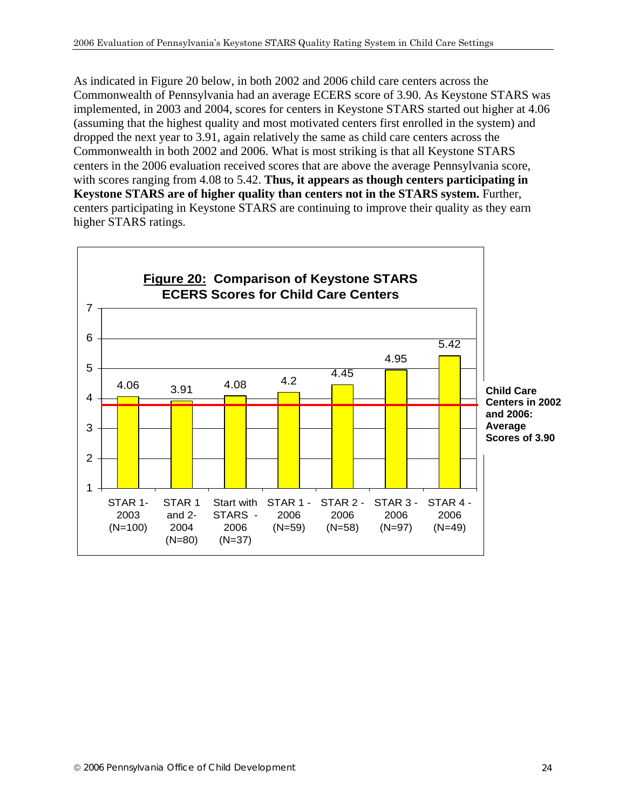As indicated in Figure 20 below, in both 2002 and 2006 child care centers across the Commonwealth of Pennsylvania had an average ECERS score of 3.90. As Keystone STARS was implemented, in 2003 and 2004, scores for centers in Keystone STARS started out higher at 4.06 (assuming that the highest quality and most motivated centers first enrolled in the system) and dropped the next year to 3.91, again relatively the same as child care centers across the Commonwealth in both 2002 and 2006. What is most striking is that all Keystone STARS centers in the 2006 evaluation received scores that are above the average Pennsylvania score, with scores ranging from 4.08 to 5.42. **Thus, it appears as though centers participating in Keystone STARS are of higher quality than centers not in the STARS system.** Further, centers participating in Keystone STARS are continuing to improve their quality as they earn higher STARS ratings.

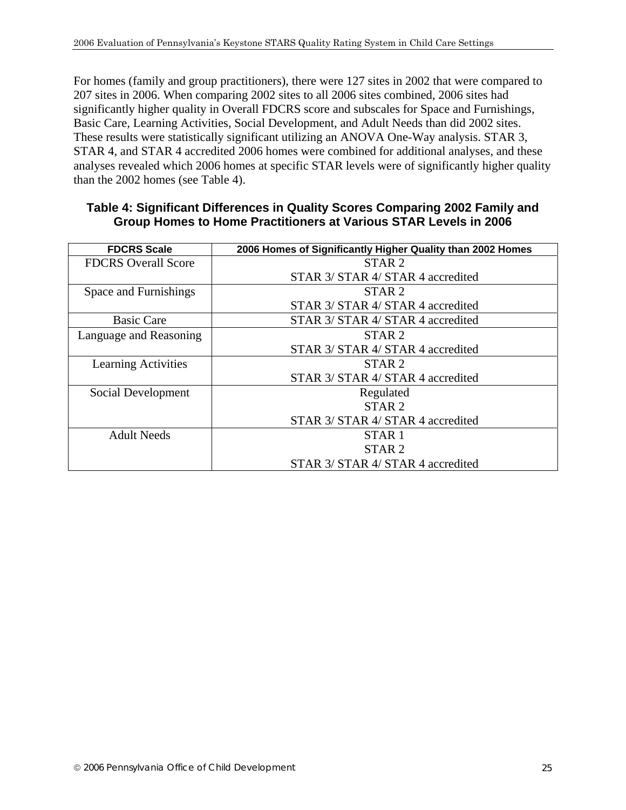For homes (family and group practitioners), there were 127 sites in 2002 that were compared to 207 sites in 2006. When comparing 2002 sites to all 2006 sites combined, 2006 sites had significantly higher quality in Overall FDCRS score and subscales for Space and Furnishings, Basic Care, Learning Activities, Social Development, and Adult Needs than did 2002 sites. These results were statistically significant utilizing an ANOVA One-Way analysis. STAR 3, STAR 4, and STAR 4 accredited 2006 homes were combined for additional analyses, and these analyses revealed which 2006 homes at specific STAR levels were of significantly higher quality than the 2002 homes (see Table 4).

| Table 4: Significant Differences in Quality Scores Comparing 2002 Family and |  |
|------------------------------------------------------------------------------|--|
| <b>Group Homes to Home Practitioners at Various STAR Levels in 2006</b>      |  |

| <b>FDCRS Scale</b>         | 2006 Homes of Significantly Higher Quality than 2002 Homes |
|----------------------------|------------------------------------------------------------|
| <b>FDCRS</b> Overall Score | STAR <sub>2</sub>                                          |
|                            | STAR 3/ STAR 4/ STAR 4 accredited                          |
| Space and Furnishings      | STAR <sub>2</sub>                                          |
|                            | STAR 3/ STAR 4/ STAR 4 accredited                          |
| <b>Basic Care</b>          | STAR 3/ STAR 4/ STAR 4 accredited                          |
| Language and Reasoning     | STAR <sub>2</sub>                                          |
|                            | STAR 3/ STAR 4/ STAR 4 accredited                          |
| <b>Learning Activities</b> | STAR <sub>2</sub>                                          |
|                            | STAR 3/ STAR 4/ STAR 4 accredited                          |
| Social Development         | Regulated                                                  |
|                            | STAR <sub>2</sub>                                          |
|                            | STAR 3/ STAR 4/ STAR 4 accredited                          |
| <b>Adult Needs</b>         | STAR <sub>1</sub>                                          |
|                            | STAR <sub>2</sub>                                          |
|                            | STAR 3/ STAR 4/ STAR 4 accredited                          |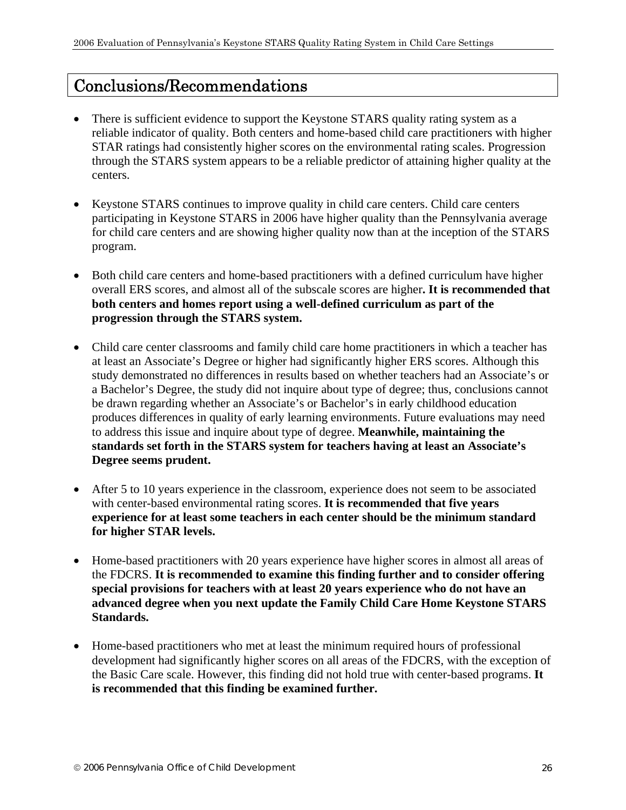# Conclusions/Recommendations

- There is sufficient evidence to support the Keystone STARS quality rating system as a reliable indicator of quality. Both centers and home-based child care practitioners with higher STAR ratings had consistently higher scores on the environmental rating scales. Progression through the STARS system appears to be a reliable predictor of attaining higher quality at the centers.
- Keystone STARS continues to improve quality in child care centers. Child care centers participating in Keystone STARS in 2006 have higher quality than the Pennsylvania average for child care centers and are showing higher quality now than at the inception of the STARS program.
- Both child care centers and home-based practitioners with a defined curriculum have higher overall ERS scores, and almost all of the subscale scores are higher**. It is recommended that both centers and homes report using a well-defined curriculum as part of the progression through the STARS system.**
- Child care center classrooms and family child care home practitioners in which a teacher has at least an Associate's Degree or higher had significantly higher ERS scores. Although this study demonstrated no differences in results based on whether teachers had an Associate's or a Bachelor's Degree, the study did not inquire about type of degree; thus, conclusions cannot be drawn regarding whether an Associate's or Bachelor's in early childhood education produces differences in quality of early learning environments. Future evaluations may need to address this issue and inquire about type of degree. **Meanwhile, maintaining the standards set forth in the STARS system for teachers having at least an Associate's Degree seems prudent.**
- After 5 to 10 years experience in the classroom, experience does not seem to be associated with center-based environmental rating scores. **It is recommended that five years experience for at least some teachers in each center should be the minimum standard for higher STAR levels.**
- Home-based practitioners with 20 years experience have higher scores in almost all areas of the FDCRS. **It is recommended to examine this finding further and to consider offering special provisions for teachers with at least 20 years experience who do not have an advanced degree when you next update the Family Child Care Home Keystone STARS Standards.**
- Home-based practitioners who met at least the minimum required hours of professional development had significantly higher scores on all areas of the FDCRS, with the exception of the Basic Care scale. However, this finding did not hold true with center-based programs. **It is recommended that this finding be examined further.**